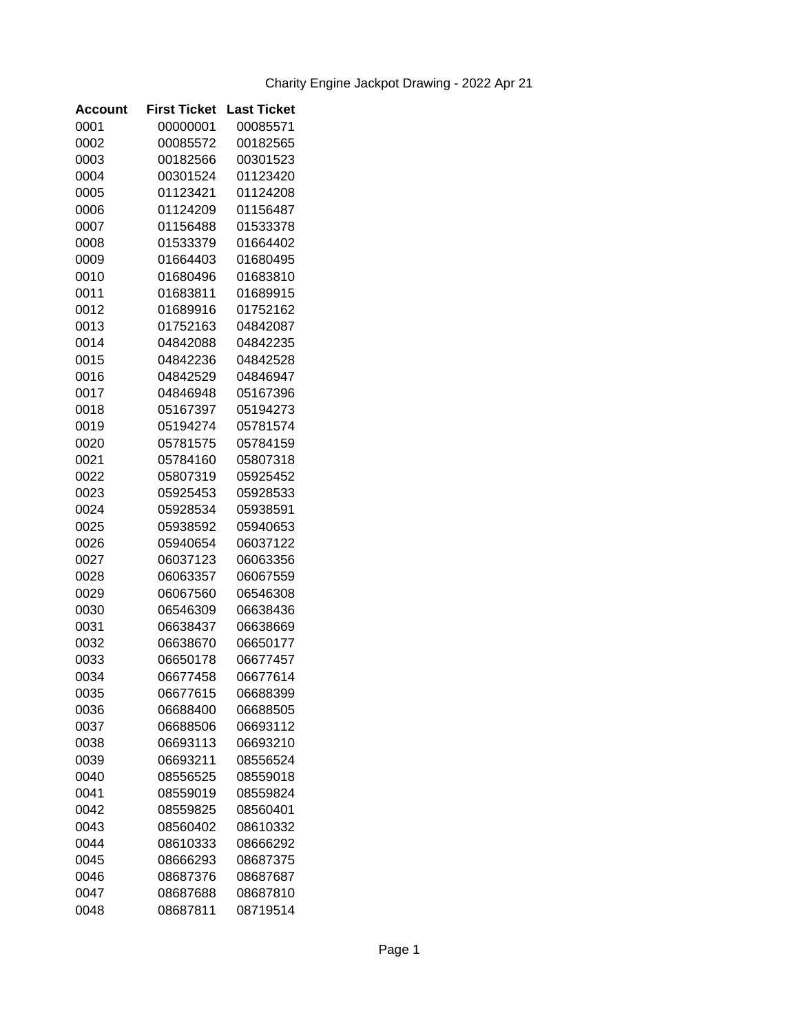| Account | <b>First Ticket</b> | <b>Last Ticket</b> |
|---------|---------------------|--------------------|
| 0001    | 00000001            | 00085571           |
| 0002    | 00085572            | 00182565           |
| 0003    | 00182566            | 00301523           |
| 0004    | 00301524            | 01123420           |
| 0005    | 01123421            | 01124208           |
| 0006    | 01124209            | 01156487           |
| 0007    | 01156488            | 01533378           |
| 0008    | 01533379            | 01664402           |
| 0009    | 01664403            | 01680495           |
| 0010    | 01680496            | 01683810           |
| 0011    | 01683811            | 01689915           |
| 0012    | 01689916            | 01752162           |
| 0013    | 01752163            | 04842087           |
| 0014    | 04842088            | 04842235           |
| 0015    | 04842236            | 04842528           |
| 0016    | 04842529            | 04846947           |
| 0017    | 04846948            | 05167396           |
| 0018    | 05167397            | 05194273           |
| 0019    | 05194274            | 05781574           |
| 0020    | 05781575            | 05784159           |
| 0021    | 05784160            | 05807318           |
| 0022    | 05807319            | 05925452           |
| 0023    | 05925453            | 05928533           |
| 0024    | 05928534            | 05938591           |
| 0025    | 05938592            | 05940653           |
| 0026    | 05940654            | 06037122           |
| 0027    | 06037123            | 06063356           |
| 0028    | 06063357            | 06067559           |
| 0029    | 06067560            | 06546308           |
| 0030    | 06546309            | 06638436           |
| 0031    | 06638437            | 06638669           |
| 0032    | 06638670            | 06650177           |
| 0033    | 06650178            | 06677457           |
| 0034    | 06677458            | 06677614           |
| 0035    | 06677615            | 06688399           |
| 0036    | 06688400            | 06688505           |
| 0037    | 06688506            | 06693112           |
| 0038    | 06693113            | 06693210           |
| 0039    | 06693211            | 08556524           |
| 0040    | 08556525            | 08559018           |
| 0041    | 08559019            | 08559824           |
| 0042    | 08559825            | 08560401           |
| 0043    | 08560402            | 08610332           |
| 0044    | 08610333            | 08666292           |
| 0045    | 08666293            | 08687375           |
| 0046    | 08687376            | 08687687           |
| 0047    | 08687688            | 08687810           |
| 0048    | 08687811            | 08719514           |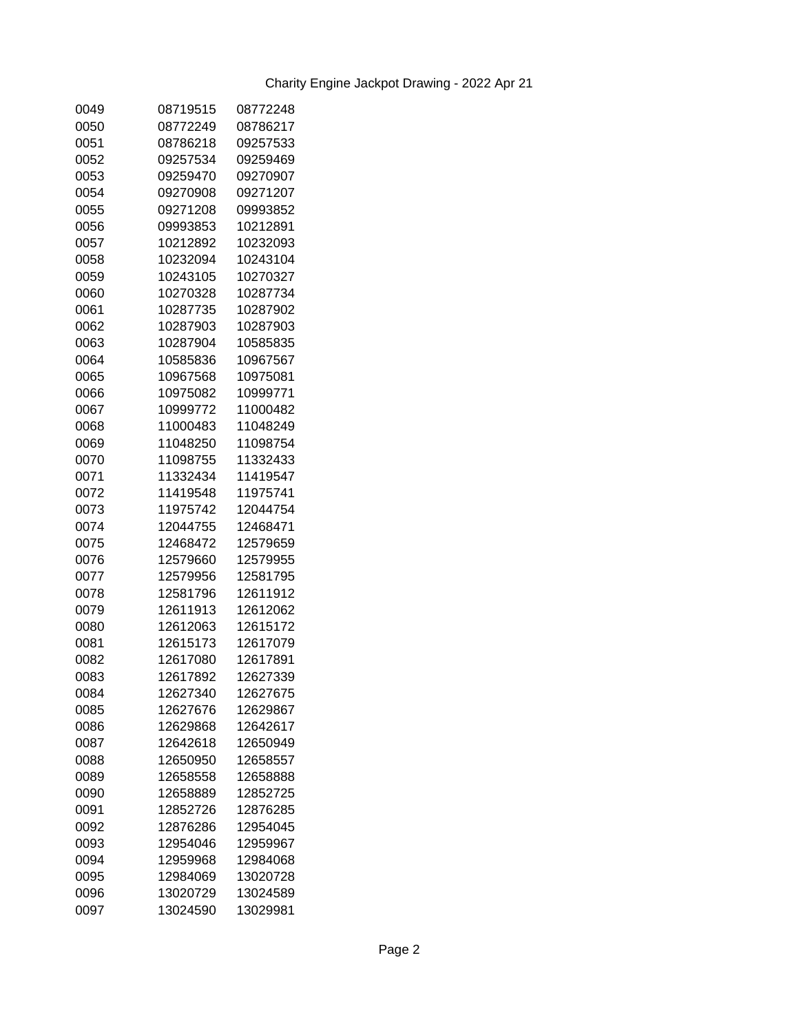| 0049 | 08719515 | 08772248 |
|------|----------|----------|
| 0050 | 08772249 | 08786217 |
| 0051 | 08786218 | 09257533 |
| 0052 | 09257534 | 09259469 |
| 0053 | 09259470 | 09270907 |
| 0054 | 09270908 | 09271207 |
| 0055 | 09271208 | 09993852 |
| 0056 | 09993853 | 10212891 |
| 0057 | 10212892 | 10232093 |
| 0058 | 10232094 | 10243104 |
| 0059 | 10243105 | 10270327 |
| 0060 | 10270328 | 10287734 |
| 0061 | 10287735 | 10287902 |
| 0062 | 10287903 | 10287903 |
| 0063 | 10287904 | 10585835 |
| 0064 | 10585836 | 10967567 |
| 0065 | 10967568 | 10975081 |
| 0066 | 10975082 | 10999771 |
| 0067 | 10999772 | 11000482 |
| 0068 | 11000483 | 11048249 |
| 0069 | 11048250 | 11098754 |
| 0070 | 11098755 | 11332433 |
| 0071 | 11332434 | 11419547 |
| 0072 | 11419548 | 11975741 |
| 0073 | 11975742 | 12044754 |
| 0074 | 12044755 | 12468471 |
| 0075 | 12468472 | 12579659 |
| 0076 | 12579660 | 12579955 |
| 0077 | 12579956 | 12581795 |
| 0078 | 12581796 | 12611912 |
| 0079 | 12611913 | 12612062 |
| 0080 | 12612063 | 12615172 |
| 0081 | 12615173 | 12617079 |
| 0082 | 12617080 | 12617891 |
|      |          | 12627339 |
| 0083 | 12617892 |          |
| 0084 | 12627340 | 12627675 |
| 0085 | 12627676 | 12629867 |
| 0086 | 12629868 | 12642617 |
| 0087 | 12642618 | 12650949 |
| 0088 | 12650950 | 12658557 |
| 0089 | 12658558 | 12658888 |
| 0090 | 12658889 | 12852725 |
| 0091 | 12852726 | 12876285 |
| 0092 | 12876286 | 12954045 |
| 0093 | 12954046 | 12959967 |
| 0094 | 12959968 | 12984068 |
| 0095 | 12984069 | 13020728 |
| 0096 | 13020729 | 13024589 |
| 0097 | 13024590 | 13029981 |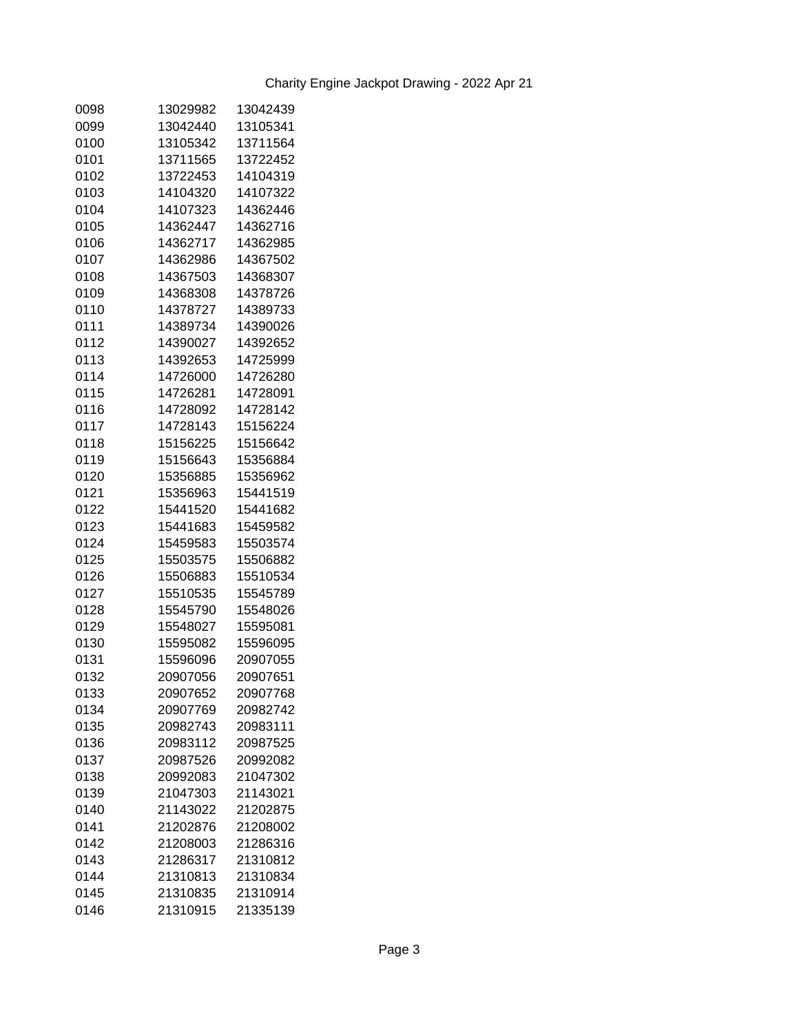| 0098 | 13029982 | 13042439 |
|------|----------|----------|
| 0099 | 13042440 | 13105341 |
| 0100 | 13105342 | 13711564 |
| 0101 | 13711565 | 13722452 |
| 0102 | 13722453 | 14104319 |
| 0103 | 14104320 | 14107322 |
| 0104 | 14107323 | 14362446 |
| 0105 | 14362447 | 14362716 |
| 0106 | 14362717 | 14362985 |
| 0107 | 14362986 | 14367502 |
| 0108 | 14367503 | 14368307 |
| 0109 | 14368308 | 14378726 |
| 0110 | 14378727 | 14389733 |
| 0111 | 14389734 | 14390026 |
| 0112 | 14390027 | 14392652 |
| 0113 | 14392653 | 14725999 |
| 0114 | 14726000 | 14726280 |
| 0115 | 14726281 | 14728091 |
| 0116 | 14728092 | 14728142 |
| 0117 | 14728143 | 15156224 |
| 0118 | 15156225 | 15156642 |
| 0119 | 15156643 | 15356884 |
| 0120 | 15356885 | 15356962 |
| 0121 | 15356963 | 15441519 |
| 0122 | 15441520 | 15441682 |
| 0123 | 15441683 | 15459582 |
| 0124 | 15459583 | 15503574 |
| 0125 | 15503575 | 15506882 |
| 0126 | 15506883 | 15510534 |
| 0127 | 15510535 | 15545789 |
| 0128 | 15545790 | 15548026 |
| 0129 | 15548027 | 15595081 |
| 0130 | 15595082 | 15596095 |
| 0131 | 15596096 | 20907055 |
| 0132 | 20907056 | 20907651 |
| 0133 | 20907652 | 20907768 |
| 0134 | 20907769 | 20982742 |
| 0135 | 20982743 | 20983111 |
| 0136 | 20983112 | 20987525 |
| 0137 | 20987526 | 20992082 |
| 0138 | 20992083 | 21047302 |
| 0139 | 21047303 | 21143021 |
| 0140 | 21143022 | 21202875 |
| 0141 | 21202876 | 21208002 |
| 0142 | 21208003 | 21286316 |
| 0143 | 21286317 | 21310812 |
| 0144 | 21310813 | 21310834 |
| 0145 | 21310835 | 21310914 |
| 0146 | 21310915 | 21335139 |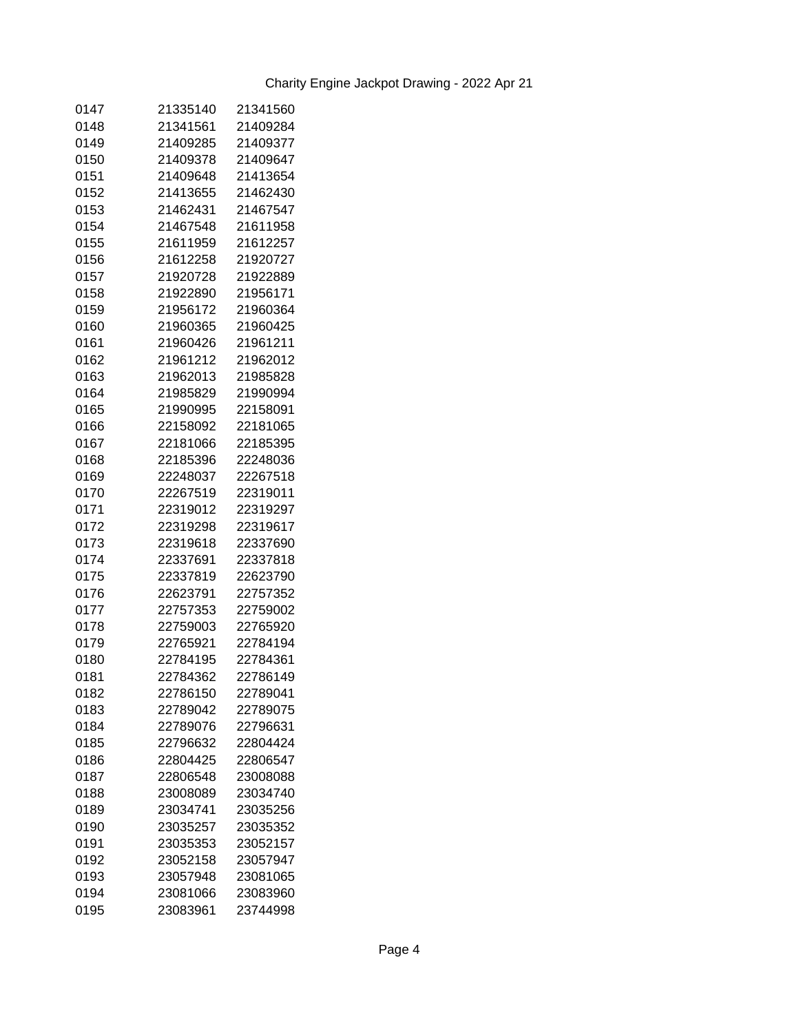| 0147 | 21335140             | 21341560 |
|------|----------------------|----------|
| 0148 | 21341561             | 21409284 |
| 0149 | 21409285             | 21409377 |
| 0150 | 21409378             | 21409647 |
| 0151 | 21409648             | 21413654 |
| 0152 | 21413655             | 21462430 |
| 0153 | 21462431             | 21467547 |
| 0154 | 21467548             | 21611958 |
| 0155 | 21611959             | 21612257 |
| 0156 | 21612258             | 21920727 |
| 0157 | 21920728             | 21922889 |
| 0158 | 21922890             | 21956171 |
| 0159 | 21956172             | 21960364 |
| 0160 | 21960365             | 21960425 |
| 0161 | 21960426             | 21961211 |
| 0162 | 21961212             | 21962012 |
| 0163 | 21962013             | 21985828 |
| 0164 | 21985829             | 21990994 |
| 0165 | 21990995             | 22158091 |
| 0166 | 22158092             | 22181065 |
| 0167 | 22181066             | 22185395 |
| 0168 | 22185396             | 22248036 |
| 0169 | 22248037             | 22267518 |
| 0170 | 22267519             | 22319011 |
| 0171 | 22319012             | 22319297 |
| 0172 | 22319298             | 22319617 |
| 0173 | 22319618             | 22337690 |
| 0174 | 22337691             | 22337818 |
| 0175 | 22337819             | 22623790 |
| 0176 | 22623791             | 22757352 |
| 0177 | 22757353             | 22759002 |
| 0178 | 22759003             | 22765920 |
| 0179 | 22765921             | 22784194 |
| 0180 |                      | 22784361 |
|      | 22784195<br>22784362 | 22786149 |
| 0181 |                      |          |
| 0182 | 22786150             | 22789041 |
| 0183 | 22789042             | 22789075 |
| 0184 | 22789076             | 22796631 |
| 0185 | 22796632             | 22804424 |
| 0186 | 22804425             | 22806547 |
| 0187 | 22806548             | 23008088 |
| 0188 | 23008089             | 23034740 |
| 0189 | 23034741             | 23035256 |
| 0190 | 23035257             | 23035352 |
| 0191 | 23035353             | 23052157 |
| 0192 | 23052158             | 23057947 |
| 0193 | 23057948             | 23081065 |
| 0194 | 23081066             | 23083960 |
| 0195 | 23083961             | 23744998 |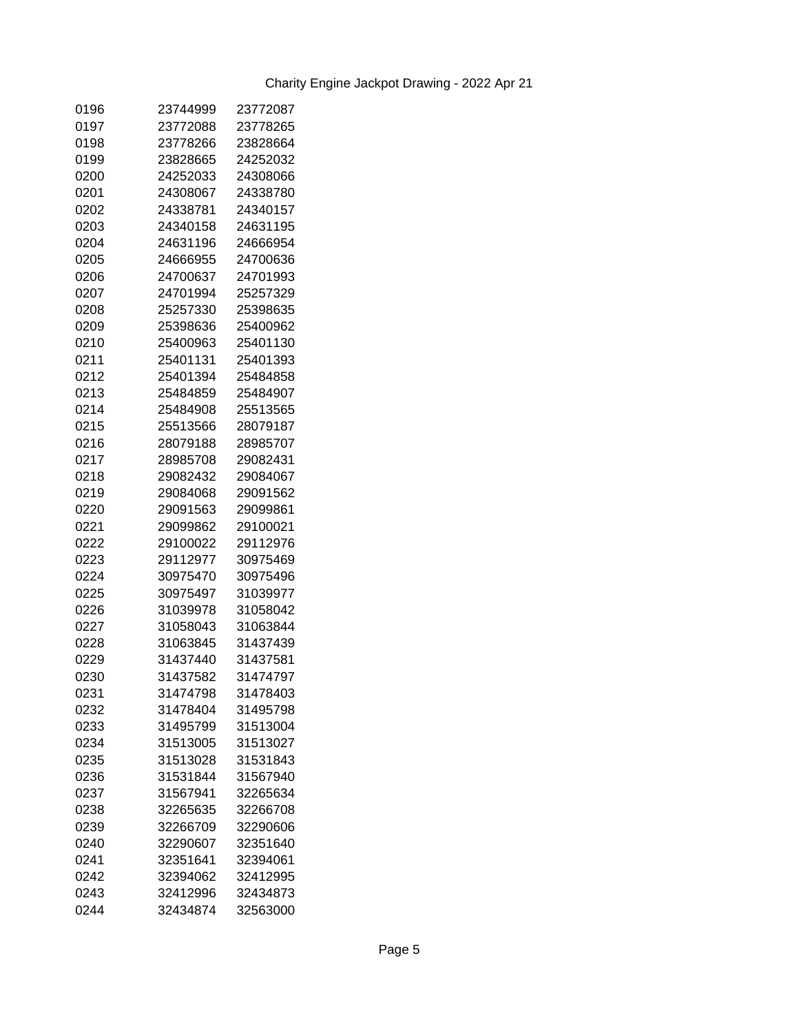| 0196         | 23744999             | 23772087 |
|--------------|----------------------|----------|
| 0197         | 23772088             | 23778265 |
| 0198         | 23778266             | 23828664 |
| 0199         | 23828665             | 24252032 |
| 0200         | 24252033             | 24308066 |
| 0201         | 24308067             | 24338780 |
| 0202         | 24338781             | 24340157 |
| 0203         | 24340158             | 24631195 |
| 0204         | 24631196             | 24666954 |
| 0205         | 24666955             | 24700636 |
| 0206         | 24700637             | 24701993 |
| 0207         | 24701994             | 25257329 |
| 0208         | 25257330             | 25398635 |
| 0209         | 25398636             | 25400962 |
| 0210         | 25400963             | 25401130 |
| 0211         | 25401131             | 25401393 |
| 0212         | 25401394             | 25484858 |
| 0213         | 25484859             | 25484907 |
| 0214         | 25484908             | 25513565 |
| 0215         | 25513566             | 28079187 |
| 0216         | 28079188             | 28985707 |
| 0217         | 28985708             | 29082431 |
| 0218         | 29082432             | 29084067 |
| 0219         | 29084068             | 29091562 |
| 0220         | 29091563             | 29099861 |
| 0221         | 29099862             | 29100021 |
| 0222         | 29100022             | 29112976 |
| 0223         | 29112977             | 30975469 |
| 0224         | 30975470             | 30975496 |
| 0225         | 30975497             | 31039977 |
| 0226         | 31039978             | 31058042 |
|              |                      |          |
| 0227<br>0228 | 31058043<br>31063845 | 31063844 |
|              |                      | 31437439 |
| 0229         | 31437440             | 31437581 |
| 0230         | 31437582             | 31474797 |
| 0231         | 31474798             | 31478403 |
| 0232         | 31478404             | 31495798 |
| 0233         | 31495799             | 31513004 |
| 0234         | 31513005             | 31513027 |
| 0235         | 31513028             | 31531843 |
| 0236         | 31531844             | 31567940 |
| 0237         | 31567941             | 32265634 |
| 0238         | 32265635             | 32266708 |
| 0239         | 32266709             | 32290606 |
| 0240         | 32290607             | 32351640 |
| 0241         | 32351641             | 32394061 |
| 0242         | 32394062             | 32412995 |
| 0243         | 32412996             | 32434873 |
| 0244         | 32434874             | 32563000 |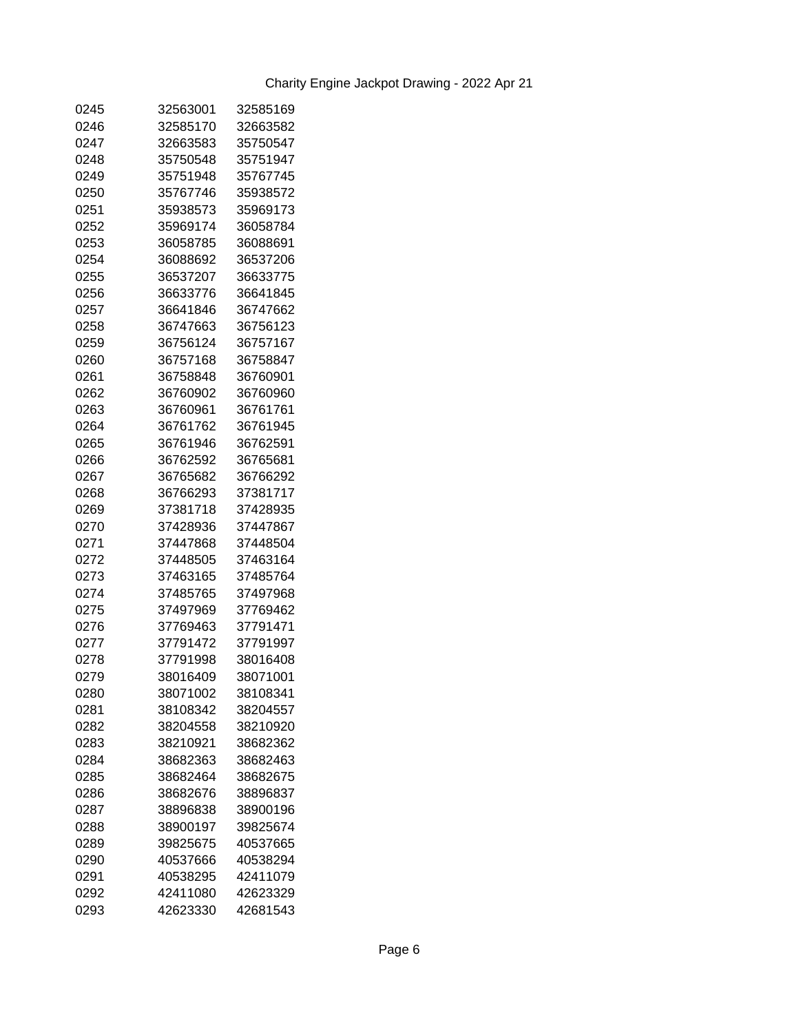| 0245 | 32563001 | 32585169 |
|------|----------|----------|
| 0246 | 32585170 | 32663582 |
| 0247 | 32663583 | 35750547 |
| 0248 | 35750548 | 35751947 |
| 0249 | 35751948 | 35767745 |
| 0250 | 35767746 | 35938572 |
| 0251 | 35938573 | 35969173 |
| 0252 | 35969174 | 36058784 |
| 0253 | 36058785 | 36088691 |
| 0254 | 36088692 | 36537206 |
| 0255 | 36537207 | 36633775 |
| 0256 | 36633776 | 36641845 |
| 0257 | 36641846 | 36747662 |
| 0258 | 36747663 | 36756123 |
| 0259 | 36756124 | 36757167 |
| 0260 | 36757168 | 36758847 |
| 0261 | 36758848 | 36760901 |
| 0262 | 36760902 | 36760960 |
| 0263 | 36760961 | 36761761 |
| 0264 | 36761762 | 36761945 |
| 0265 | 36761946 | 36762591 |
| 0266 | 36762592 | 36765681 |
| 0267 | 36765682 | 36766292 |
| 0268 | 36766293 | 37381717 |
| 0269 | 37381718 | 37428935 |
| 0270 | 37428936 | 37447867 |
| 0271 | 37447868 | 37448504 |
| 0272 | 37448505 | 37463164 |
| 0273 | 37463165 | 37485764 |
| 0274 | 37485765 | 37497968 |
| 0275 | 37497969 | 37769462 |
| 0276 | 37769463 | 37791471 |
| 0277 | 37791472 | 37791997 |
| 0278 | 37791998 | 38016408 |
| 0279 | 38016409 | 38071001 |
| 0280 | 38071002 | 38108341 |
| 0281 | 38108342 | 38204557 |
| 0282 | 38204558 | 38210920 |
| 0283 | 38210921 | 38682362 |
| 0284 | 38682363 | 38682463 |
| 0285 | 38682464 | 38682675 |
| 0286 | 38682676 | 38896837 |
| 0287 | 38896838 | 38900196 |
| 0288 | 38900197 | 39825674 |
| 0289 | 39825675 | 40537665 |
| 0290 | 40537666 | 40538294 |
| 0291 | 40538295 | 42411079 |
| 0292 | 42411080 | 42623329 |
| 0293 | 42623330 | 42681543 |
|      |          |          |